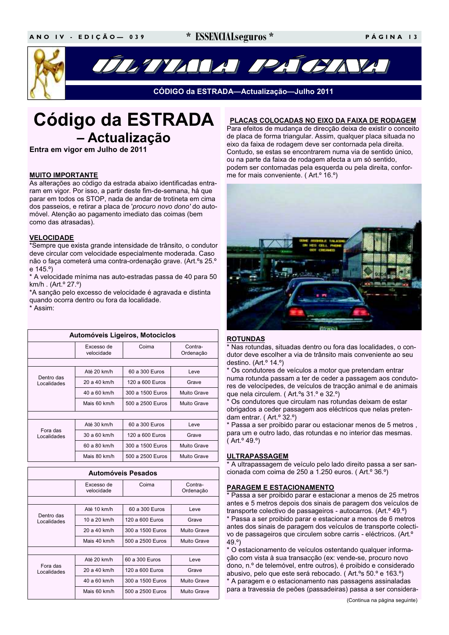\* ESSENCIAL seguros \*



ÚLIVADA PAJCIAVA

CÓDIGO da ESTRADA-Actualização-Julho 2011

# **Código da ESTRADA** - Actualização

Entra em vigor em Julho de 2011

### **MUITO IMPORTANTE**

As alterações ao código da estrada abaixo identificadas entraram em vigor. Por isso, a partir deste fim-de-semana, há que parar em todos os STOP, nada de andar de trotineta em cima dos passeios, e retirar a placa de 'procuro novo dono' do automóvel. Atenção ao pagamento imediato das coimas (bem como das atrasadas).

### **VELOCIDADE**

\*Sempre que exista grande intensidade de trânsito, o condutor deve circular com velocidade especialmente moderada. Caso não o faça cometerá uma contra-ordenação grave. (Art.ºs 25.º e 145.<sup>o</sup>)

\* A velocidade mínima nas auto-estradas passa de 40 para 50 km/h. (Art.<sup>o</sup> 27.<sup>o</sup>)

\*A sanção pelo excesso de velocidade é agravada e distinta quando ocorra dentro ou fora da localidade. \* Assim<sup>.</sup>

| Automóveis Ligeiros, Motociclos |                          |                  |                      |  |  |
|---------------------------------|--------------------------|------------------|----------------------|--|--|
|                                 | Excesso de<br>velocidade | Coima            | Contra-<br>Ordenação |  |  |
|                                 |                          |                  |                      |  |  |
| Dentro das<br>Localidades       | Até 20 km/h              | 60 a 300 Euros   | Leve                 |  |  |
|                                 | 20 a 40 km/h             | 120 a 600 Euros  | Grave                |  |  |
|                                 | 40 a 60 km/h             | 300 a 1500 Euros | Muito Grave          |  |  |
|                                 | Mais 60 km/h             | 500 a 2500 Euros | Muito Grave          |  |  |
|                                 |                          |                  |                      |  |  |
| Fora das<br>Localidades         | Até 30 km/h              | 60 a 300 Euros   | Leve                 |  |  |
|                                 | 30 a 60 km/h             | 120 a 600 Euros  | Grave                |  |  |
|                                 | 60 a 80 km/h             | 300 a 1500 Euros | Muito Grave          |  |  |
|                                 | Mais 80 km/h             | 500 a 2500 Euros | Muito Grave          |  |  |

| Automóveis Pesados        |                          |                  |                      |  |  |
|---------------------------|--------------------------|------------------|----------------------|--|--|
|                           | Excesso de<br>velocidade | Coima            | Contra-<br>Ordenação |  |  |
|                           |                          |                  |                      |  |  |
| Dentro das<br>Localidades | Até 10 km/h              | 60 a 300 Euros   | Leve                 |  |  |
|                           | 10 a 20 km/h             | 120 a 600 Euros  | Grave                |  |  |
|                           | 20 a 40 km/h             | 300 a 1500 Euros | Muito Grave          |  |  |
|                           | Mais 40 km/h             | 500 a 2500 Euros | Muito Grave          |  |  |
|                           |                          |                  |                      |  |  |
| Fora das<br>Localidades   | Até 20 km/h              | 60 a 300 Euros   | Leve                 |  |  |
|                           | 20 a 40 km/h             | 120 a 600 Euros  | Grave                |  |  |
|                           | 40 a 60 km/h             | 300 a 1500 Euros | Muito Grave          |  |  |
|                           | Mais 60 km/h             | 500 a 2500 Euros | Muito Grave          |  |  |

### PLACAS COLOCADAS NO EIXO DA FAIXA DE RODAGEM

Para efeitos de mudança de direcção deixa de existir o conceito de placa de forma triangular. Assim, qualquer placa situada no eixo da faixa de rodagem deve ser contornada pela direita. Contudo, se estas se encontrarem numa via de sentido único, ou na parte da faixa de rodagem afecta a um só sentido, podem ser contornadas pela esquerda ou pela direita, conforme for mais conveniente. (Art.<sup>o</sup> 16.<sup>o</sup>)



### **ROTUNDAS**

\* Nas rotundas, situadas dentro ou fora das localidades, o condutor deve escolher a via de trânsito mais conveniente ao seu destino. (Art.º 14.º)

\* Os condutores de veículos a motor que pretendam entrar numa rotunda passam a ter de ceder a passagem aos condutores de velocípedes, de veículos de tracção animal e de animais que nela circulem. (Art.ºs 31.º e 32.º)

\* Os condutores que circulam nas rotundas deixam de estar obrigados a ceder passagem aos eléctricos que nelas pretendam entrar. (Art.<sup>o</sup> 32.<sup>o</sup>)

\* Passa a ser proibido parar ou estacionar menos de 5 metros, para um e outro lado, das rotundas e no interior das mesmas.  $(Art.^{\circ}49.^{\circ})$ 

### **ULTRAPASSAGEM**

\* A ultrapassagem de veículo pelo lado direito passa a ser sancionada com coima de 250 a 1.250 euros. (Art.º 36.º)

### **PARAGEM E ESTACIONAMENTO**

\* Passa a ser proibido parar e estacionar a menos de 25 metros antes e 5 metros depois dos sinais de paragem dos veículos de transporte colectivo de passageiros - autocarros. (Art.º 49.º)

\* Passa a ser proibido parar e estacionar a menos de 6 metros antes dos sinais de paragem dos veículos de transporte colectivo de passageiros que circulem sobre carris - eléctricos. (Art.º  $49.°$ 

\* O estacionamento de veículos ostentando qualquer informação com vista à sua transacção (ex: vende-se, procuro novo dono, n.º de telemóvel, entre outros), é proibido e considerado abusivo, pelo que este será rebocado. (Art.ºs 50.º e 163.º) \* A paragem e o estacionamento nas passagens assinaladas para a travessia de peões (passadeiras) passa a ser considera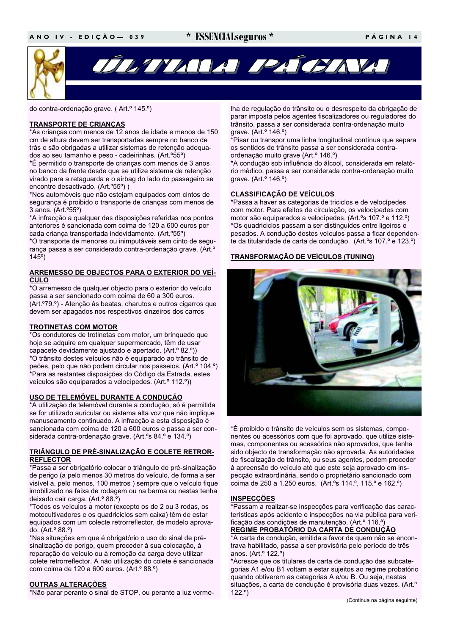do contra-ordenação grave. (Art.º 145.º)

# **TRANSPORTE DE CRIANÇAS**

\*As crianças com menos de 12 anos de idade e menos de 150 cm de altura devem ser transportadas sempre no banco de trás e são obrigadas a utilizar sistemas de retenção adeguados ao seu tamanho e peso - cadeirinhas. (Art.º55º)

\*É permitido o transporte de crianças com menos de 3 anos no banco da frente desde que se utilize sistema de retenção virado para a retaguarda e o airbag do lado do passageiro se encontre desactivado. (Art.º55º))

\*Nos automóveis que não estejam equipados com cintos de segurança é proibido o transporte de crianças com menos de 3 anos. (Art.<sup>o</sup>55°)

\*A infracção a qualquer das disposições referidas nos pontos anteriores é sancionada com coima de 120 a 600 euros por cada criança transportada indevidamente. (Art.º55º)

\*O transporte de menores ou inimputáveis sem cinto de sequrança passa a ser considerado contra-ordenação grave. (Art.º  $145°$ 

### **ARREMESSO DE OBJECTOS PARA O EXTERIOR DO VEÍ-CULO**

\*O arremesso de qualquer objecto para o exterior do veículo passa a ser sancionado com coima de 60 a 300 euros. (Art.º79.º) - Atenção às beatas, charutos e outros cigarros que devem ser apagados nos respectivos cinzeiros dos carros

# **TROTINETAS COM MOTOR**

\*Os condutores de trotinetas com motor, um brinquedo que hoje se adquire em qualquer supermercado, têm de usar capacete devidamente ajustado e apertado. (Art.º 82.º)) \*O trânsito destes veículos não é equiparado ao trânsito de peões, pelo que não podem circular nos passeios. (Art.º 104.º) \*Para as restantes disposições do Código da Estrada, estes veículos são equiparados a velocípedes. (Art.º 112.º))

# <u>USO DE TELEMÓVEL DURANTE A CONDUÇÃO</u>

\*A utilização de telemóvel durante a condução, só é permitida se for utilizado auricular ou sistema alta voz que não implique manuseamento continuado. A infracção a esta disposição é sancionada com coima de 120 a 600 euros e passa a ser considerada contra-ordenação grave. (Art.ºs 84.º e 134.º)

### TRIÂNGULO DE PRÉ-SINALIZAÇÃO E COLETE RETROR-**REFLECTOR**

\*Passa a ser obrigatório colocar o triângulo de pré-sinalização de perigo (a pelo menos 30 metros do veículo, de forma a ser visível a, pelo menos, 100 metros) sempre que o veículo fique imobilizado na faixa de rodagem ou na berma ou nestas tenha deixado cair carga. (Art.º 88.º)

\*Todos os veículos a motor (excepto os de 2 ou 3 rodas, os motocultivadores e os quadriciclos sem caixa) têm de estar equipados com um colecte retrorreflector, de modelo aprovado. (Art.º 88.º)

\*Nas situações em que é obrigatório o uso do sinal de présinalização de perigo, quem proceder à sua colocação, à reparação do veículo ou à remoção da carga deve utilizar colete retrorreflector. A não utilização do colete é sancionada com coima de 120 a 600 euros. (Art.º 88.º)

# **OUTRAS ALTERAÇÕES**

\*Não parar perante o sinal de STOP, ou perante a luz verme-

lha de regulação do trânsito ou o desrespeito da obrigação de parar imposta pelos agentes fiscalizadores ou reguladores do trânsito, passa a ser considerada contra-ordenação muito grave. (Art.<sup>o</sup> 146.<sup>o</sup>)

\*Pisar ou transpor uma linha longitudinal contínua que separa os sentidos de trânsito passa a ser considerada contraordenação muito grave (Art.º 146.º)

\*A condução sob influência do álcool, considerada em relatório médico, passa a ser considerada contra-ordenação muito grave. (Art.<sup>o</sup> 146.<sup>o</sup>)

# **CLASSIFICAÇÃO DE VEÍCULOS**

\*Passa a haver as categorias de triciclos e de velocípedes com motor. Para efeitos de circulação, os velocípedes com motor são equiparados a velocípedes. (Art.ºs 107.º e 112.º) \*Os quadriciclos passam a ser distinguidos entre ligeiros e pesados. A condução destes veículos passa a ficar dependente da titularidade de carta de condução. (Art.ºs 107.º e 123.º)

# TRANSFORMAÇÃO DE VEÍCULOS (TUNING)



\*É proibido o trânsito de veículos sem os sistemas, componentes ou acessórios com que foi aprovado, que utilize sistemas, componentes ou acessórios não aprovados, que tenha sido objecto de transformação não aprovada. As autoridades de fiscalização do trânsito, ou seus agentes, podem proceder à apreensão do veículo até que este seja aprovado em inspecção extraordinária, sendo o proprietário sancionado com coima de 250 a 1.250 euros. (Art.ºs 114.º, 115.º e 162.º)

# **INSPECÇÕES**

\*Passam a realizar-se inspecções para verificação das características após acidente e inspecções na via pública para verificação das condições de manutenção. (Art.º 116.ª) REGIME PROBATÓRIO DA CARTA DE CONDUÇÃO

\*A carta de condução, emitida a favor de quem não se encontrava habilitado, passa a ser provisória pelo período de três anos. (Art.<sup>o</sup> 122.<sup>o</sup>)

\*Acresce que os titulares de carta de condução das subcategorias A1 e/ou B1 voltam a estar sujeitos ao regime probatório quando obtiverem as categorias A e/ou B. Ou seja, nestas situações, a carta de condução é provisória duas vezes. (Art.º  $122.°)$